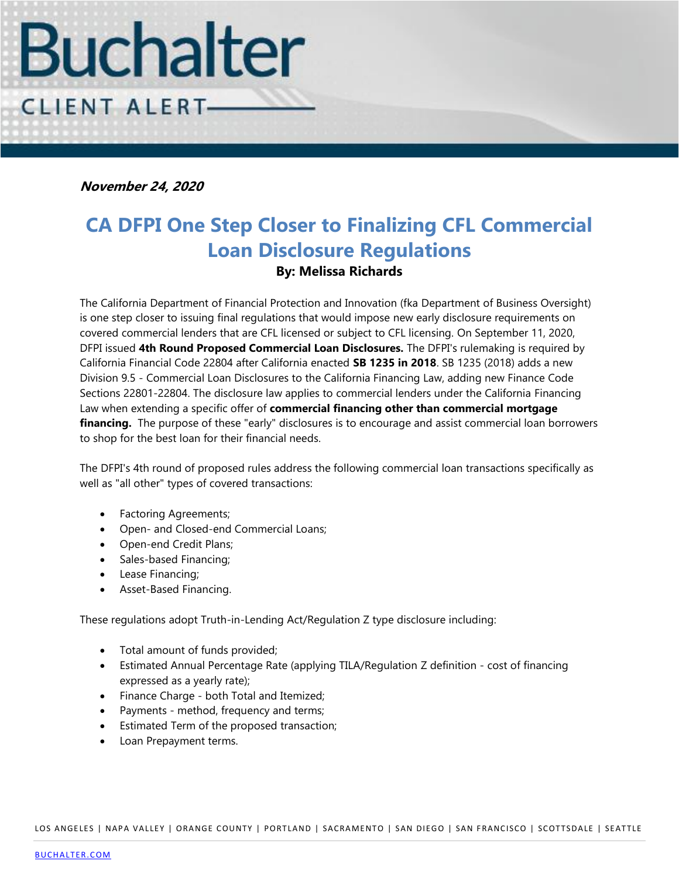

**November 24, 2020**

## **CA DFPI One Step Closer to Finalizing CFL Commercial Loan Disclosure Regulations By: Melissa Richards**

The California Department of Financial Protection and Innovation (fka Department of Business Oversight) is one step closer to issuing final regulations that would impose new early disclosure requirements on covered commercial lenders that are CFL licensed or subject to CFL licensing. On September 11, 2020, DFPI issued **4th Round Proposed Commercial Loan Disclosures.** The DFPI's rulemaking is required by California Financial Code 22804 after California enacted **SB 1235 in 2018**. SB 1235 (2018) adds a new Division 9.5 - Commercial Loan Disclosures to the California Financing Law, adding new Finance Code Sections 22801-22804. The disclosure law applies to commercial lenders under the California Financing Law when extending a specific offer of **commercial financing other than commercial mortgage financing.** The purpose of these "early" disclosures is to encourage and assist commercial loan borrowers to shop for the best loan for their financial needs.

The DFPI's 4th round of proposed rules address the following commercial loan transactions specifically as well as "all other" types of covered transactions:

- Factoring Agreements;
- Open- and Closed-end Commercial Loans;
- Open-end Credit Plans;
- Sales-based Financing;
- Lease Financing;
- Asset-Based Financing.

These regulations adopt Truth-in-Lending Act/Regulation Z type disclosure including:

- Total amount of funds provided;
- Estimated Annual Percentage Rate (applying TILA/Regulation Z definition cost of financing expressed as a yearly rate);
- Finance Charge both Total and Itemized;
- Payments method, frequency and terms;
- Estimated Term of the proposed transaction;
- Loan Prepayment terms.

LOS ANGELES | NAPA VALLEY | ORANGE COUNTY | PORTLAND | SACRAMENTO | SAN DIEGO | SAN FRANCISCO | SCOTTSDALE | SEATTLE